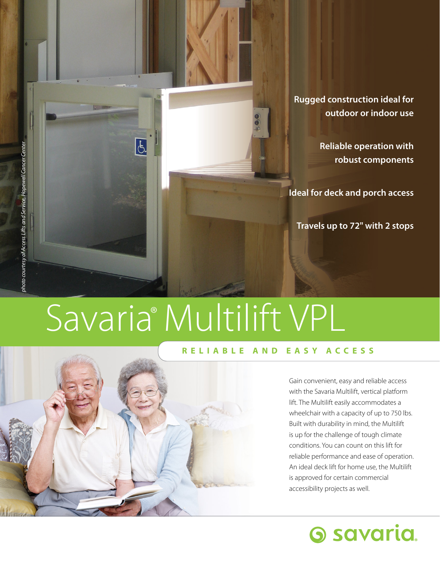

**Reliable operation with robust components** 

**Ideal for deck and porch access** 

**Travels up to 72" with 2 stops** 

# Savaria<sup>®</sup> Multilift VPL

 $\overline{\mathfrak{b}}$ 

#### **RELIABLE AND EASY ACCESS**

Gain convenient, easy and reliable access with the Savaria Multilift, vertical platform lift. The Multilift easily accommodates a wheelchair with a capacity of up to 750 lbs. Built with durability in mind, the Multilift is up for the challenge of tough climate conditions. You can count on this lift for reliable performance and ease of operation. An ideal deck lift for home use, the Multilift is approved for certain commercial accessibility projects as well.



*photo courtesy of Access Lifts and Service, Hopewell Cancer Center*  photo courtesy of Access Lifts and Service, Hopewell